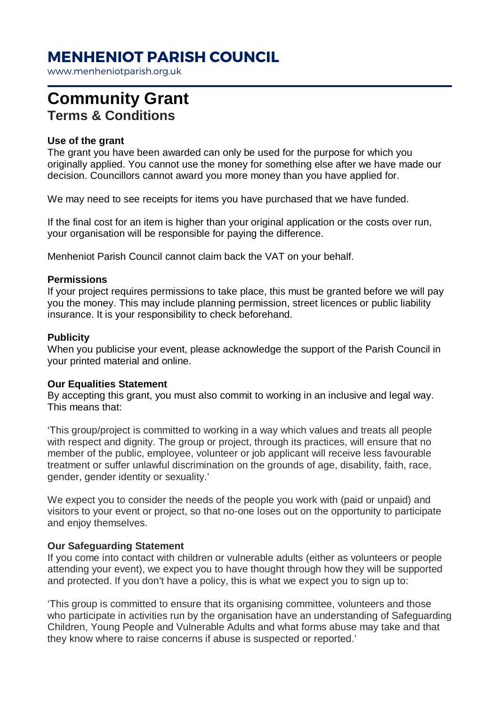# **MENHENIOT PARISH COUNCIL**

www.menheniotparish.org.uk

# **Community Grant Terms & Conditions**

### **Use of the grant**

The grant you have been awarded can only be used for the purpose for which you originally applied. You cannot use the money for something else after we have made our decision. Councillors cannot award you more money than you have applied for.

We may need to see receipts for items you have purchased that we have funded.

If the final cost for an item is higher than your original application or the costs over run, your organisation will be responsible for paying the difference.

Menheniot Parish Council cannot claim back the VAT on your behalf.

#### **Permissions**

If your project requires permissions to take place, this must be granted before we will pay you the money. This may include planning permission, street licences or public liability insurance. It is your responsibility to check beforehand.

#### **Publicity**

When you publicise your event, please acknowledge the support of the Parish Council in your printed material and online.

#### **Our Equalities Statement**

By accepting this grant, you must also commit to working in an inclusive and legal way. This means that:

'This group/project is committed to working in a way which values and treats all people with respect and dignity. The group or project, through its practices, will ensure that no member of the public, employee, volunteer or job applicant will receive less favourable treatment or suffer unlawful discrimination on the grounds of age, disability, faith, race, gender, gender identity or sexuality.'

We expect you to consider the needs of the people you work with (paid or unpaid) and visitors to your event or project, so that no-one loses out on the opportunity to participate and enjoy themselves.

#### **Our Safeguarding Statement**

If you come into contact with children or vulnerable adults (either as volunteers or people attending your event), we expect you to have thought through how they will be supported and protected. If you don't have a policy, this is what we expect you to sign up to:

'This group is committed to ensure that its organising committee, volunteers and those who participate in activities run by the organisation have an understanding of Safeguarding Children, Young People and Vulnerable Adults and what forms abuse may take and that they know where to raise concerns if abuse is suspected or reported.'